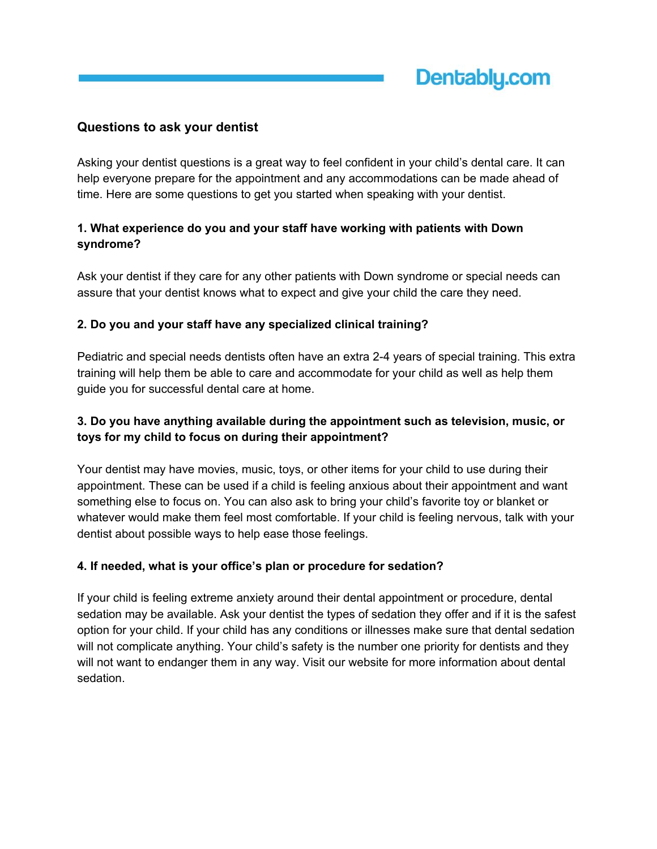# **Questions to ask your dentist**

Asking your dentist questions is a great way to feel confident in your child's dental care. It can help everyone prepare for the appointment and any accommodations can be made ahead of time. Here are some questions to get you started when speaking with your dentist.

# **1. What experience do you and your staff have working with patients with Down syndrome?**

Ask your dentist if they care for any other patients with Down syndrome or special needs can assure that your dentist knows what to expect and give your child the care they need.

#### **2. Do you and your staff have any specialized clinical training?**

Pediatric and special needs dentists often have an extra 2-4 years of special training. This extra training will help them be able to care and accommodate for your child as well as help them guide you for successful dental care at home.

## **3. Do you have anything available during the appointment such as television, music, or toys for my child to focus on during their appointment?**

Your dentist may have movies, music, toys, or other items for your child to use during their appointment. These can be used if a child is feeling anxious about their appointment and want something else to focus on. You can also ask to bring your child's favorite toy or blanket or whatever would make them feel most comfortable. If your child is feeling nervous, talk with your dentist about possible ways to help ease those feelings.

## **4. If needed, what is your office's plan or procedure for sedation?**

If your child is feeling extreme anxiety around their dental appointment or procedure, dental sedation may be available. Ask your dentist the types of sedation they offer and if it is the safest option for your child. If your child has any conditions or illnesses make sure that dental sedation will not complicate anything. Your child's safety is the number one priority for dentists and they will not want to endanger them in any way. Visit our website for more information about dental sedation.